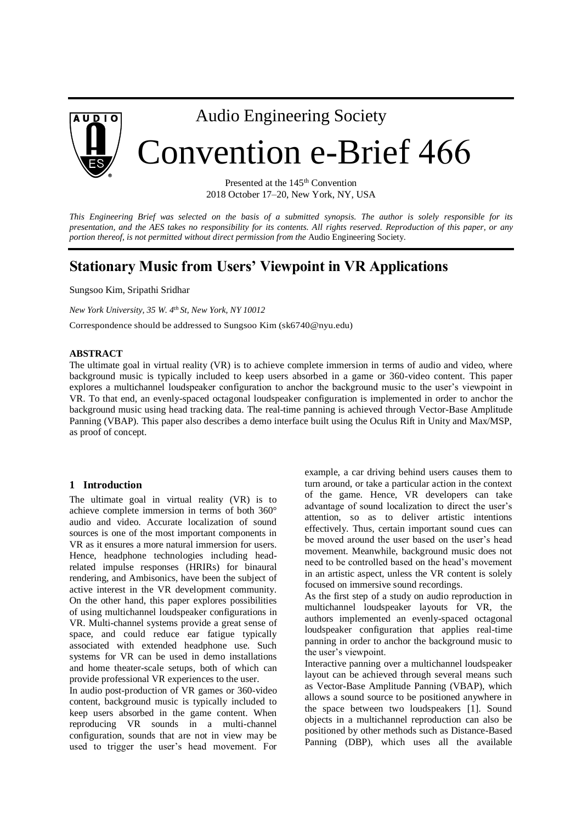

## Audio Engineering Society

# Convention e-Brief 466

Presented at the 145<sup>th</sup> Convention 2018 October 17–20, New York, NY, USA

*This Engineering Brief was selected on the basis of a submitted synopsis. The author is solely responsible for its presentation, and the AES takes no responsibility for its contents. All rights reserved. Reproduction of this paper, or any portion thereof, is not permitted without direct permission from the* Audio Engineering Society.

## **Stationary Music from Users' Viewpoint in VR Applications**

Sungsoo Kim, Sripathi Sridhar

*New York University, 35 W. 4th St, New York, NY 10012*

Correspondence should be addressed to Sungsoo Kim (sk6740@nyu.edu)

#### **ABSTRACT**

The ultimate goal in virtual reality (VR) is to achieve complete immersion in terms of audio and video, where background music is typically included to keep users absorbed in a game or 360-video content. This paper explores a multichannel loudspeaker configuration to anchor the background music to the user's viewpoint in VR. To that end, an evenly-spaced octagonal loudspeaker configuration is implemented in order to anchor the background music using head tracking data. The real-time panning is achieved through Vector-Base Amplitude Panning (VBAP). This paper also describes a demo interface built using the Oculus Rift in Unity and Max/MSP, as proof of concept.

#### **1 Introduction**

The ultimate goal in virtual reality (VR) is to achieve complete immersion in terms of both 360° audio and video. Accurate localization of sound sources is one of the most important components in VR as it ensures a more natural immersion for users. Hence, headphone technologies including headrelated impulse responses (HRIRs) for binaural rendering, and Ambisonics, have been the subject of active interest in the VR development community. On the other hand, this paper explores possibilities of using multichannel loudspeaker configurations in VR. Multi-channel systems provide a great sense of space, and could reduce ear fatigue typically associated with extended headphone use. Such systems for VR can be used in demo installations and home theater-scale setups, both of which can provide professional VR experiences to the user.

In audio post-production of VR games or 360-video content, background music is typically included to keep users absorbed in the game content. When reproducing VR sounds in a multi-channel configuration, sounds that are not in view may be used to trigger the user's head movement. For

example, a car driving behind users causes them to turn around, or take a particular action in the context of the game. Hence, VR developers can take advantage of sound localization to direct the user's attention, so as to deliver artistic intentions effectively. Thus, certain important sound cues can be moved around the user based on the user's head movement. Meanwhile, background music does not need to be controlled based on the head's movement in an artistic aspect, unless the VR content is solely focused on immersive sound recordings.

As the first step of a study on audio reproduction in multichannel loudspeaker layouts for VR, the authors implemented an evenly-spaced octagonal loudspeaker configuration that applies real-time panning in order to anchor the background music to the user's viewpoint.

Interactive panning over a multichannel loudspeaker layout can be achieved through several means such as Vector-Base Amplitude Panning (VBAP), which allows a sound source to be positioned anywhere in the space between two loudspeakers [1]. Sound objects in a multichannel reproduction can also be positioned by other methods such as Distance-Based Panning (DBP), which uses all the available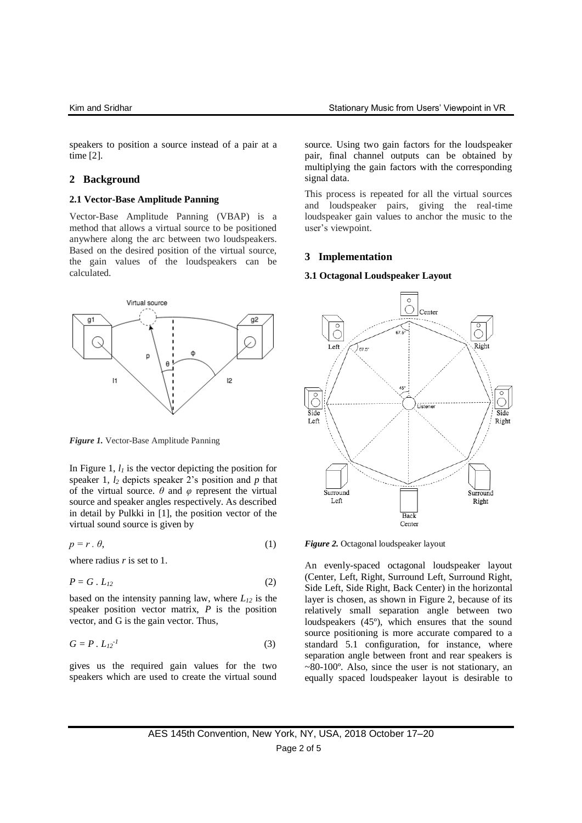speakers to position a source instead of a pair at a time [2].

### **2 Background**

#### **2.1 Vector-Base Amplitude Panning**

Vector-Base Amplitude Panning (VBAP) is a method that allows a virtual source to be positioned anywhere along the arc between two loudspeakers. Based on the desired position of the virtual source, the gain values of the loudspeakers can be calculated.



*Figure 1.* Vector-Base Amplitude Panning

In Figure 1,  $l_l$  is the vector depicting the position for speaker 1, *l<sup>2</sup>* depicts speaker 2's position and *p* that of the virtual source.  $\theta$  and  $\varphi$  represent the virtual source and speaker angles respectively. As described in detail by Pulkki in [1], the position vector of the virtual sound source is given by

$$
p = r \cdot \theta,\tag{1}
$$

where radius *r* is set to 1.

$$
P = G \cdot L_{12} \tag{2}
$$

based on the intensity panning law, where *L<sup>12</sup>* is the speaker position vector matrix, *P* is the position vector, and G is the gain vector. Thus,

$$
G = P \cdot L_{12}^{-1} \tag{3}
$$

gives us the required gain values for the two speakers which are used to create the virtual sound

source. Using two gain factors for the loudspeaker pair, final channel outputs can be obtained by multiplying the gain factors with the corresponding signal data.

This process is repeated for all the virtual sources and loudspeaker pairs, giving the real-time loudspeaker gain values to anchor the music to the user's viewpoint.

#### **3 Implementation**

#### **3.1 Octagonal Loudspeaker Layout**



*Figure 2.* Octagonal loudspeaker layout

An evenly-spaced octagonal loudspeaker layout (Center, Left, Right, Surround Left, Surround Right, Side Left, Side Right, Back Center) in the horizontal layer is chosen, as shown in Figure 2, because of its relatively small separation angle between two loudspeakers (45º), which ensures that the sound source positioning is more accurate compared to a standard 5.1 configuration, for instance, where separation angle between front and rear speakers is  $\sim$ 80-100 $\degree$ . Also, since the user is not stationary, an equally spaced loudspeaker layout is desirable to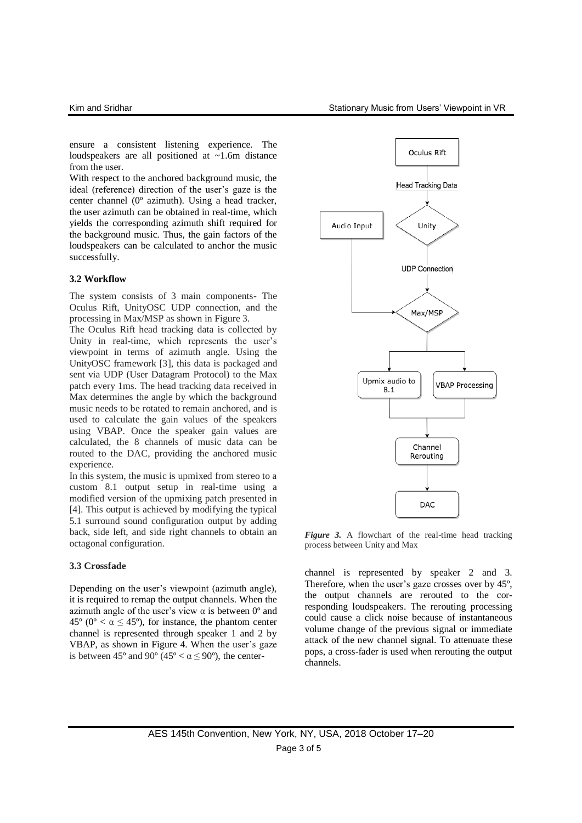ensure a consistent listening experience. The loudspeakers are all positioned at ~1.6m distance from the user.

With respect to the anchored background music, the ideal (reference) direction of the user's gaze is the center channel (0º azimuth). Using a head tracker, the user azimuth can be obtained in real-time, which yields the corresponding azimuth shift required for the background music. Thus, the gain factors of the loudspeakers can be calculated to anchor the music successfully.

#### **3.2 Workflow**

The system consists of 3 main components- The Oculus Rift, UnityOSC UDP connection, and the processing in Max/MSP as shown in Figure 3.

The Oculus Rift head tracking data is collected by Unity in real-time, which represents the user's viewpoint in terms of azimuth angle. Using the UnityOSC framework [3], this data is packaged and sent via UDP (User Datagram Protocol) to the Max patch every 1ms. The head tracking data received in Max determines the angle by which the background music needs to be rotated to remain anchored, and is used to calculate the gain values of the speakers using VBAP. Once the speaker gain values are calculated, the 8 channels of music data can be routed to the DAC, providing the anchored music experience.

In this system, the music is upmixed from stereo to a custom 8.1 output setup in real-time using a modified version of the upmixing patch presented in [4]. This output is achieved by modifying the typical 5.1 surround sound configuration output by adding back, side left, and side right channels to obtain an octagonal configuration.

#### **3.3 Crossfade**

Depending on the user's viewpoint (azimuth angle), it is required to remap the output channels. When the azimuth angle of the user's view  $\alpha$  is between  $0^{\circ}$  and 45<sup>o</sup> (0<sup>o</sup> <  $\alpha \leq 45$ <sup>o</sup>), for instance, the phantom center channel is represented through speaker 1 and 2 by VBAP, as shown in Figure 4. When the user's gaze is between 45° and 90° (45° <  $\alpha \le 90$ °), the center-



*Figure 3.* A flowchart of the real-time head tracking process between Unity and Max

channel is represented by speaker 2 and 3. Therefore, when the user's gaze crosses over by 45º, the output channels are rerouted to the corresponding loudspeakers. The rerouting processing could cause a click noise because of instantaneous volume change of the previous signal or immediate attack of the new channel signal. To attenuate these pops, a cross-fader is used when rerouting the output channels.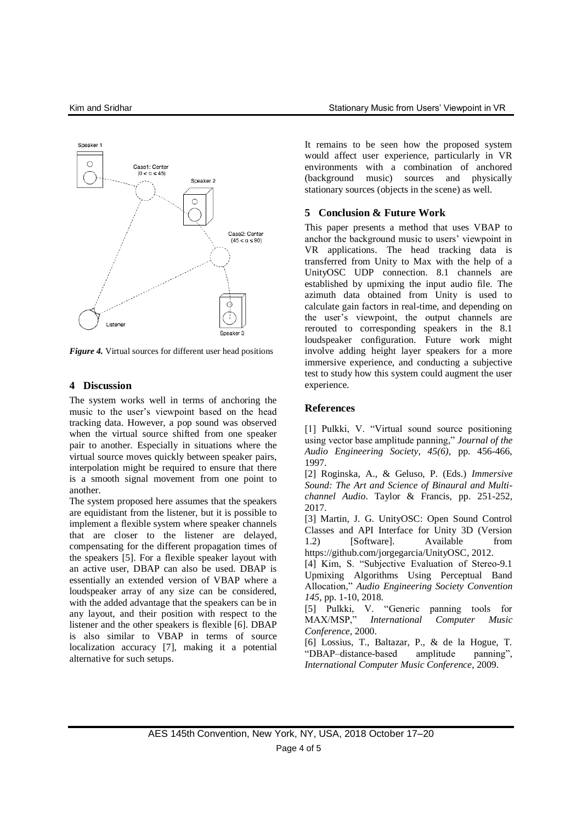

*Figure 4.* Virtual sources for different user head positions

#### **4 Discussion**

The system works well in terms of anchoring the music to the user's viewpoint based on the head tracking data. However, a pop sound was observed when the virtual source shifted from one speaker pair to another. Especially in situations where the virtual source moves quickly between speaker pairs, interpolation might be required to ensure that there is a smooth signal movement from one point to another.

The system proposed here assumes that the speakers are equidistant from the listener, but it is possible to implement a flexible system where speaker channels that are closer to the listener are delayed, compensating for the different propagation times of the speakers [5]. For a flexible speaker layout with an active user, DBAP can also be used. DBAP is essentially an extended version of VBAP where a loudspeaker array of any size can be considered, with the added advantage that the speakers can be in any layout, and their position with respect to the listener and the other speakers is flexible [6]. DBAP is also similar to VBAP in terms of source localization accuracy [7], making it a potential alternative for such setups.

It remains to be seen how the proposed system would affect user experience, particularly in VR environments with a combination of anchored (background music) sources and physically stationary sources (objects in the scene) as well.

#### **5 Conclusion & Future Work**

This paper presents a method that uses VBAP to anchor the background music to users' viewpoint in VR applications. The head tracking data is transferred from Unity to Max with the help of a UnityOSC UDP connection. 8.1 channels are established by upmixing the input audio file. The azimuth data obtained from Unity is used to calculate gain factors in real-time, and depending on the user's viewpoint, the output channels are rerouted to corresponding speakers in the 8.1 loudspeaker configuration. Future work might involve adding height layer speakers for a more immersive experience, and conducting a subjective test to study how this system could augment the user experience.

#### **References**

[1] Pulkki, V. "Virtual sound source positioning using vector base amplitude panning," *Journal of the Audio Engineering Society, 45(6),* pp. 456-466, 1997.

[2] Roginska, A., & Geluso, P. (Eds.) *Immersive Sound: The Art and Science of Binaural and Multichannel Audio*. Taylor & Francis, pp. 251-252, 2017.

[3] Martin, J. G. UnityOSC: Open Sound Control Classes and API Interface for Unity 3D (Version 1.2) [Software]. Available from https://github.com/jorgegarcia/UnityOSC, 2012.

[4] Kim, S. "Subjective Evaluation of Stereo-9.1 Upmixing Algorithms Using Perceptual Band Allocation," *Audio Engineering Society Convention 145,* pp. 1-10, 2018*.*

[5] Pulkki, V. "Generic panning tools for MAX/MSP," *International Computer Music Conference,* 2000.

[6] Lossius, T., Baltazar, P., & de la Hogue, T. "DBAP–distance-based amplitude panning", *International Computer Music Conference*, 2009.